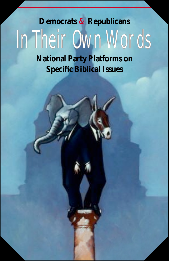# **Democrats** *&* **Republicans** In Their Own Words

**National Party Platforms on Specific Biblical Issues**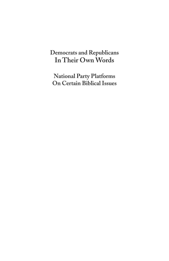# **In Their Own Words Democrats and Republicans**

**National Party Platforms On Certain Biblical Issues**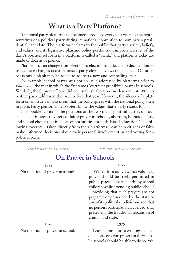# **What is a Party Platform?**

A national party platform is a document produced every four years by the representatives of a political party during its national convention to nominate a presidential candidate. The platform declares to the public that party's vision, beliefs, and values, and its legislative plan and policy positions on important issues of the day. A position set forth in a platform is called a "plank," and platforms today are made of dozens of planks.

Platforms often change from election to election, and decade to decade. Sometimes these changes occur because a party alters its views on a subject. On other occasions, a plank may be added to address a new and compelling issue.

For example, school prayer was not an issue addressed by platforms prior to 1962-1963 – the year in which the Supreme Court first prohibited prayer in schools. Similarly, the Supreme Court did not establish abortion-on-demand until 1973, so neither party addressed the issue before that year. However, the silence of a platform on an issue can also mean that the party agrees with the national policy then in place. Party platforms help voters know the values that a party stands for.

This booklet contains the positions of the two major political parties on four subjects of interest to voters of faith: prayer in schools, abortion, homosexuality, and school choice that includes opportunities for faith-based education. The following excerpts – taken directly from their platforms – can help citizens of faith make informed decisions about their personal involvement in and voting for a political party.

| THE DEMOCRATS' PLATFORM         | THE REPUBLICANS' PLATFORM                                                                                                                                                                                                                                                                                                                                                                                        |
|---------------------------------|------------------------------------------------------------------------------------------------------------------------------------------------------------------------------------------------------------------------------------------------------------------------------------------------------------------------------------------------------------------------------------------------------------------|
| <b>On Prayer in Schools</b>     |                                                                                                                                                                                                                                                                                                                                                                                                                  |
| 1972                            | 1972                                                                                                                                                                                                                                                                                                                                                                                                             |
| No mention of prayer in school. | We reaffirm our view that voluntary<br>prayer should be freely permitted in<br>public places – particularly by school<br>children while attending public schools<br>- providing that such prayers are not<br>prepared or prescribed by the state or<br>any of its political subdivisions and that<br>no person's participation is coerced, thus<br>preserving the traditional separation of<br>church and state. |
| 1976                            | 1976                                                                                                                                                                                                                                                                                                                                                                                                             |
| No mention of prayer in school. | Local communities wishing to con-<br>duct non-sectarian prayers in their pub-<br>lic schools should be able to do so. We                                                                                                                                                                                                                                                                                         |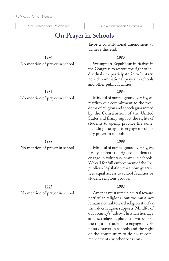# **On Prayer in Schools**

# **1980**

No mention of prayer in school.

### **1984**

No mention of prayer in school.

### **1988**

No mention of prayer in school.

## **1992**

No mention of prayer in school.

favor a constitutional amendment to achieve this end.

### **1980**

We support Republican initiatives in the Congress to restore the right of individuals to participate in voluntary, non-denominational prayer in schools and other public facilities.

## **1984**

Mindful of our religious diversity, we reaffirm our commitment to the freedoms of religion and speech guaranteed by the Constitution of the United States and firmly support the rights of students to openly practice the same, including the right to engage in voluntary prayer in schools.

### **1988**

Mindful of our religious diversity, we firmly support the right of students to engage in voluntary prayer in schools. We call for full enforcement of the Republican legislation that now guarantees equal access to school facilities by student religious groups.

## **1992**

America must remain neutral toward particular religions, but we must not remain neutral toward religion itself or the values religion supports. Mindful of our country's Judeo-Christian heritage and rich religious pluralism, we support the right of students to engage in voluntary prayer in schools and the right of the community to do so at commencements or other occasions.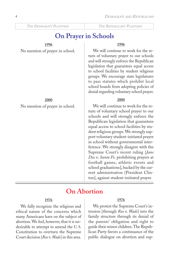# **On Prayer in Schools**

# **1996**

No mention of prayer in school.

**2000** No mention of prayer in school.

### **1996**

We will continue to work for the return of voluntary prayer to our schools and will strongly enforce the Republican legislation that guarantees equal access to school facilities by student religious groups. We encourage state legislatures to pass statutes which prohibit local school boards from adopting policies of denial regarding voluntary school prayer.

### **2000**

We will continue to work for the return of voluntary school prayer to our schools and will strongly enforce the Republican legislation that guarantees equal access to school facilities by student religious groups. We strongly support voluntary student-initiated prayer in school without governmental interference. We strongly disagree with the Supreme Court's recent ruling [*Jane Doe v. Santa Fe,* prohibiting prayers at football games, athletic events and school graduations], backed by the current administration [President Clinton], against student-initiated prayer.

# **On Abortion**

### **1976**

We fully recognize the religious and ethical nature of the concerns which many Americans have on the subject of abortion. We feel, however, that it is undesirable to attempt to amend the U. S. Constitution to overturn the Supreme Court decision [*Roe* v. *Wade*] in this area.

### **1976**

We protest the Supreme Court's intrusion [through *Roe* v. *Wade*] into the family structure through its denial of the parents' obligation and right to guide their minor children. The Republican Party favors a continuance of the public dialogue on abortion and sup-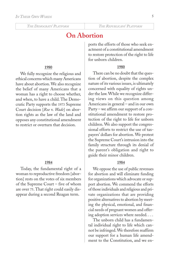# **On Abortion**

#### **1980**

We fully recognize the religious and ethical concerns which many Americans have about abortion. We also recognize the belief of many Americans that a woman has a right to choose whether, and when, to have a child. The Democratic Party supports the 1973 Supreme Court decision [*Roe* v. *Wade*] on abortion rights as the law of the land and opposes any constitutional amendment to restrict or overturn that decision.

#### **1984**

Today, the fundamental right of a woman to reproductive freedom [abortion] rests on the votes of six members of the Supreme Court – five of whom are over 75. That right could easily disappear during a second Reagan term.

ports the efforts of those who seek enactment of a constitutional amendment to restore protection of the right to life for unborn children.

#### **1980**

There can be no doubt that the question of abortion, despite the complex nature of its various issues, is ultimately concerned with equality of rights under the law. While we recognize differing views on this question among Americans in general – and in our own Party – we affirm our support of a constitutional amendment to restore protection of the right to life for unborn children. We also support the congressional efforts to restrict the use of taxpayers' dollars for abortion. We protest the Supreme Court's intrusion into the family structure through its denial of the parent's obligation and right to guide their minor children.

#### **1984**

We oppose the use of public revenues for abortion and will eliminate funding for organizations which advocate or support abortion. We commend the efforts of those individuals and religious and private organizations that are providing positive alternatives to abortion by meeting the physical, emotional, and financial needs of pregnant women and offering adoption services where needed. . . .

The unborn child has a fundamental individual right to life which cannot be infringed. We therefore reaffirm our support for a human life amendment to the Constitution, and we en-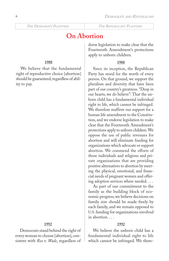# **On Abortion**

#### **1988**

We believe that the fundamental right of reproductive choice [abortion] should be guaranteed, regardless of ability to pay.

#### **1992**

Democrats stand behind the right of every woman to choose [abortion], consistent with *Roe* v. *Wade*, regardless of dorse legislation to make clear that the Fourteenth Amendment's protections apply to unborn children.

#### **1988**

Since its inception, the Republican Party has stood for the worth of every person. On that ground, we support the pluralism and diversity that have been part of our country's greatness. "Deep in our hearts, we do believe": That the unborn child has a fundamental individual right to life, which cannot be infringed. We therefore reaffirm our support for a human life amendment to the Constitution, and we endorse legislation to make clear that the Fourteenth Amendment's protections apply to unborn children. We oppose the use of public revenues for abortion and will eliminate funding for organizations which advocate or support abortion. We commend the efforts of those individuals and religious and private organizations that are providing positive alternatives to abortion by meeting the physical, emotional, and financial needs of pregnant women and offering adoption services where needed. . . .

As part of our commitment to the family as the building block of economic progress, we believe decisions on family size should be made freely by each family, and we remain opposed to U.S. funding for organizations involved in abortion. . . .

#### **1992**

We believe the unborn child has a fundamental individual right to life which cannot be infringed. We there-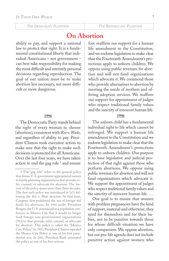# **On Abortion**

ability to pay, and support a national law to protect that right. It is a fundamental constitutional liberty that individual Americans – not government – can best take responsibility for making the most difficult and intensely personal decisions regarding reproduction. The goal of our nation must be to make abortion less necessary, not more difficult or more dangerous.

#### **1996**

The Democratic Party stands behind the right of every woman to choose [abortion], consistent with *Roe* v. *Wade*, and regardless of ability to pay. President Clinton took executive action to make sure that the right to make such decisions is protected for all Americans. Over the last four years, we have taken action to end the gag rule † and ensure fore reaffirm our support for a human life amendment to the Constitution, and we endorse legislation to make clear that the Fourteenth Amendment's protections apply to unborn children. We oppose using public revenues for abortion and will not fund organizations which advocate it. We commend those who provide alternatives to abortion by meeting the needs of mothers and offering adoption services. We reaffirm our support for appointment of judges who respect traditional family values and the sanctity of innocent human life.

#### **1996**

The unborn child has a fundamental individual right to life which cannot be infringed. We support a human life amendment to the Constitution and we endorse legislation to make clear that the Fourteenth Amendment's protections apply to unborn children. Our purpose is to have legislative and judicial protection of that right against those who perform abortions. We oppose using public revenues for abortion and will not fund organizations which advocate it. We support the appointment of judges who respect traditional family values and the sanctity of innocent human life. . . .

Our goal is to ensure that women with problem pregnancies have the kind of support, material and otherwise, they need for themselves and for their babies, not to be punitive towards those for whose difficult situation we have only compassion. We oppose abortion, but our pro-life agenda does not include punitive action against women who

<sup>†</sup> The "gag rule" refers to the general policy that denies U. S. government appropriated money to family planning organizations that provide, refer, counsel, or advocate for abortion. The history of the policy spans more than three decades. The first such policy was introduced in 1973 following the *Roe v. Wade* decision. At that time, Congress first prohibited the use of foreign-aid funds for abortions. In 1984 under President Reagan, the U. S. announced at a population conference in Mexico City that it would no longer fund foreign non-governmental organizations (NGOs) that provide, refer, counsel, or advocate for abortion. This policy is called the "Mexico City Policy." In 1993, President Clinton repealed the Mexico City Policy as one of his first presidential acts. In 2001, President Bush reinstated the policy as one of his first actions.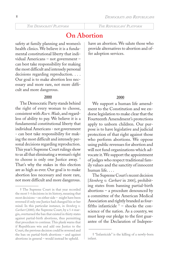# **On Abortion**

safety at family planning and women's health clinics. We believe it is a fundamental constitutional liberty that individual Americans – not government – can best take responsibility for making the most difficult and intensely personal decisions regarding reproduction. . . . Our goal is to make abortion less necessary and more rare, not more difficult and more dangerous.

#### **2000**

The Democratic Party stands behind the right of every woman to choose, consistent with *Roe* v. *Wade*, and regardless of ability to pay. We believe it is a fundamental constitutional liberty that individual Americans - not government - can best take responsibility for making the most difficult and intensely personal decisions regarding reproduction. This year's Supreme Court rulings show to us all that eliminating a woman's right to choose is only one Justice away. † That's why the stakes in this election are as high as ever. Our goal is to make abortion less necessary and more rare, not more difficult and more dangerous. have an abortion. We salute those who provide alternatives to abortion and offer adoption services.

# **2000**

We support a human life amendment to the Constitution and we endorse legislation to make clear that the Fourteenth Amendment's protections apply to unborn children. Our purpose is to have legislative and judicial protection of that right against those who perform abortions. We oppose using public revenues for abortion and will not fund organizations which advocate it. We support the appointment of judges who respect traditional family values and the sanctity of innocent human life. . . .

The Supreme Court's recent decision [*Stenberg v. Carhart* in 2000], prohibiting states from banning partial-birth abortions – a procedure denounced by a committee of the American Medical Association and rightly branded as fourfifths infanticide  $\dagger$  – shocks the conscience of the nation. As a country, we must keep our pledge to the first guarantee of the Declaration of Indepen-

<sup>†</sup> The Supreme Court in that year recorded the most 5-4 decisions in its history, meaning that most decisions – on either side – might have been reversed if only one Justice had changed his or her mind. In this particular instance, in *Stenberg v. Carhart* (2000), the Supreme Court, by a 5-4 margin, overturned the ban that existed in thirty states against partial-birth abortions, thus permitting that procedure to continue. This plank warns that if Republicans win and add one Justice to the Court, the previous decision could be reversed and the ban on partial-birth abortions – and against abortions in general – would instead be upheld.

<sup>† &</sup>quot;Infanticide" is the killing of a newly-born infant.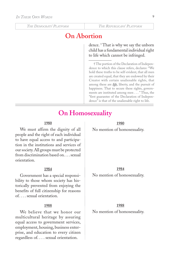# **On Abortion**

dence. † That is why we say the unborn child has a fundamental individual right to life which cannot be infringed.

† The portion of the Declaration of Independence to which this clause refers, declares: "We hold these truths to be self-evident, that all men are created equal, that they are endowed by their Creator with certain unalienable rights, that among these are *life*, liberty, and the pursuit of happiness. That to secure these rights, governments are instituted among men . . . " Thus, the "first guarantee of the Declaration of Independence" is that of the unalienable right to life.

# **On Homosexuality**

#### **1980**

We must affirm the dignity of all people and the right of each individual to have equal access to and participation in the institutions and services of our society. All groups must be protected from discrimination based on. . . . sexual orientation.

#### **1984**

Government has a special responsibility to those whom society has historically prevented from enjoying the benefits of full citizenship for reasons of. . . . sexual orientation.

### **1988**

We believe that we honor our multicultural heritage by assuring equal access to government services, employment, housing, business enterprise, and education to every citizen regardless of. . . . sexual orientation.

**1980**

No mention of homosexuality.

#### **1984**

No mention of homosexuality.

#### **1988**

No mention of homosexuality.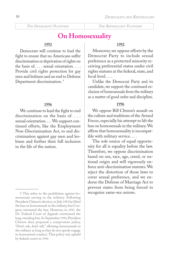# **On Homosexuality**

### **1992**

Democrats will continue to lead the fight to ensure that no Americans suffer discrimination or deprivation of rights on the basis of. . . . sexual orientation. . . . Provide civil rights protection for gay men and lesbians and an end to Defense Department discrimination. †

#### **1996**

We continue to lead the fight to end discrimination on the basis of. . . . sexual orientation.... We support continued efforts, like the Employment Non-Discrimination Act, to end discrimination against gay men and lesbians and further their full inclusion in the life of the nation.

### **1992**

Moreover, we oppose efforts by the Democrat Party to include sexual preference as a protected minority receiving preferential status under civil rights statutes at the federal, state, and local level. . . .

Unlike the Democrat Party and its candidate, we support the continued exclusion of homosexuals from the military as a matter of good order and discipline.

#### **1996**

We oppose Bill Clinton's assault on the culture and traditions of the Armed Forces, especially his attempt to lift the ban on homosexuals in the military. We affirm that homosexuality is incompatible with military service. . . .

The sole source of equal opportunity for all is equality before the law. Therefore, we oppose discrimination based on sex, race, age, creed, or national origin and will vigorously enforce anti-discrimination statutes. We reject the distortion of those laws to cover sexual preference, and we endorse the Defense of Marriage Act to prevent states from being forced to recognize same-sex unions.

<sup>†</sup> This refers to the prohibition against homosexuals serving in the military. Following President Clinton's election, in July 1993 he lifted the ban on homosexuals in the military, but Congress reinstated the ban. However, in 1993, the DC Federal Court of Appeals overturned the long-standing ban. In September 1994, President Clinton then proposed a compromise policy, "Don't ask, don't tell," allowing homosexuals in the military as long as they do not openly engage in homosexual conduct. That policy was upheld by federal courts in 1994.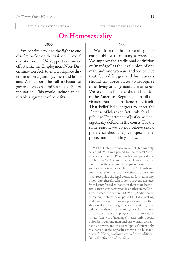# **On Homosexuality**

#### **2000**

We continue to lead the fight to end discrimination on the basis of sexual orientation. . . . We support continued efforts, like the Employment Non-Discrimination Act, to end workplace discrimination against gay men and lesbians. We support the full inclusion of gay and lesbian families in the life of the nation. This would include an equitable alignment of benefits.

#### **2000**

We affirm that homosexuality is incompatible with military service. . . . We support the traditional definition of "marriage" as the legal union of one man and one woman, and we believe that federal judges and bureaucrats should not force states to recognize other living arrangements as marriages. We rely on the home, as did the founders of the American Republic, to instill the virtues that sustain democracy itself. That belief led Congress to enact the Defense of Marriage Act, † which a Republican Department of Justice will energetically defend in the courts. For the same reason, we do not believe sexual preference should be given special legal protection or standing in law.

<sup>†</sup> The "Defense of Marriage Act" (commonly called DOMA) was passed by the federal Congress in September 1996. The law was passed as a reaction to a 1993 decision by the Hawaii Supreme Court that the state must recognize homosexual and same-sex marriages. Under the "full faith and credit clause" of the U. S. Constitution, one state must recognize the legal contracts formed in any other state; therefore, in order to prevent all states from being forced to honor in their state homosexual marriages performed in another state, Congress passed the federal DOMA. (Additionally, thirty-eight states have passed DOMAs stating that homosexual marriages performed in other states will not be recognized in their state.) The federal law also defined marriage for the purposes of all federal laws and programs; that law established: "the word 'marriage' means only a legal union between one man and one woman as husband and wife, and the word 'spouse' refers only to a person of the opposite sex who is a husband or a wife." Congress thus preserved the traditional Biblical definition of marriage.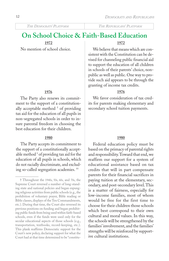12

*THE DEMOCRATS' PLATFORM THE REPUBLICANS' PLATFORM*

# **On School Choice & Faith-Based Education**

**1972**

No mention of school choice.

# **1976**

The Party also renews its commitment to the support of a constitutionally acceptable method † of providing tax aid for the education of all pupils in non-segregated schools in order to insure parental freedom in choosing the best education for their children.

#### **1980**

The Party accepts its commitment to the support of a constitutionally acceptable method † of providing tax aid for the education of all pupils in schools, which do not racially discriminate, and excluding so-called segregation academies. ††

# **1972**

We believe that means which are consistent with the Constitution can be devised for channeling public financial aid to support the education of all children in schools of their parents' choice, nonpublic as well as public. One way to provide such aid appears to be through the granting of income tax credits.

## **1976**

We favor consideration of tax credits for parents making elementary and secondary school tuition payments.

### **1980**

Federal education policy must be based on the primacy of parental rights and responsibility. Toward that end, we reaffirm our support for a system of educational assistance based on tax credits that will in part compensate parents for their financial sacrifices in paying tuition at the elementary, secondary, and post-secondary level. This is a matter of fairness, especially for low-income families, most of whom would be free for the first time to choose for their children those schools which best correspond to their own cultural and moral values. In this way, the schools will be strengthened by the families' involvement, and the families' strengths will be reinforced by supportive cultural institutions.

<sup>†</sup> Throughout the 1940s, 50s, 60s, and 70s, the Supreme Court reversed a number of long-standing state and national policies and began expunging religious activities from public schools (e.g., the prohibition of voluntary prayer, Bible reading or Bible classes, displays of the Ten Commandments, etc.). During that time, the Court also reversed its previous positions on funding and began prohibiting public funds from being used within faith-based schools, even if the funds were used only for the secular educational aspects of those schools (e.g., transportation, textbooks, record-keeping, etc.). This plank reaffirms Democratic support for the Court's new policy, declaring support for what the Court had at that time determined to be "constitu-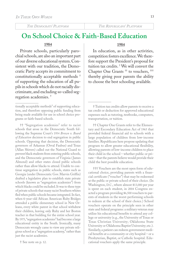**On School Choice & Faith-Based Education**

#### **1984**

Private schools, particularly parochial schools, are also an important part of our diverse educational system. Consistent with our tradition, the Democratic Party accepts its commitment to constitutionally acceptable methods † of supporting the education of all pupils in schools which do not racially discriminate, and excluding so-called segregation academies. †

†† "Segregation academies" refer to racist schools that arose in the Democratic South following the Supreme Court's 1954 *Brown v. Board of Education* decision to end segregation in public schools. Opposing that decision, the Democratic governors of Arkansas (Orval Faubus) and Texas (Allan Shivers) called out the National Guard to prevent black students from entering public schools, and the Democratic governors of Virginia (James Almond) and other states closed public schools rather than allow blacks to attend. Unable to continue segregation in public schools, states such as Georgia (under Democratic Gov. Marvin Griffin) drafted a legislative plan to establish state private schools (known as "segregation academies") from which blacks could be excluded. It was to these type of private schools that many racist Southern whites fled when public schools became integrated. In fact, when 6-year-old African American Ruby Bridges attended a public elementary school in New Orleans, every white parent in that school withdrew their children, leaving only Ruby and her Boston teacher in that building for the entire school year. By 1975, "segregation academies" had become a large educational entity in the South. Ironically, many Democrats wrongly came to view any private religious school as a "segregation academy," rather than just the racist academies.

† See note on p. 12.

#### **1984**

In education, as in other activities, competition fosters excellence. We therefore support the President's proposal for tuition tax credits. † We will convert the Chapter One Grants †† to vouchers, ††† thereby giving poor parents the ability to choose the best schooling available.

†† Chapter One Grants refer to the Elementary and Eecondary Education Act of 1965 that provided federal financial aid to schools with a large population of children from low-income families. Republicans here propose updating that program to allow greater educational flexibility, allowing parents of low-income children to place their child in the school – whether public or private – that the parents believe would provide their child the best possible education.

††† Vouchers are the most open form of educational choice, providing parents with a financial certificate ("voucher") that may be redeemed at the public or private school of their choice. (In Washington, D.C., where almost \$13,000 per year is spent on each student, in 2004 Congress enacted a program providing \$6,500 vouchers to parents of students in the worst-performing schools to redeem at the school of their choice.) School vouchers operate on the principle seen in other state and federal programs: a military veteran may utilize his educational benefits to attend any college or university (e.g., the University of Texas or Texas Christian University; Oklahoma State University or Oklahoma Baptist University; etc.). Similarly, a patient can redeem government medical benefits at a community or city hospital – or a Presbyterian, Baptist, or Catholic hospital. Educational vouchers apply the same principle.

tionally acceptable methods" of supporting education, and therefore opposing public funding from being made available for use in school choice programs or faith-based schools.

<sup>†</sup> Tuition tax credits allow parents to receive a tax credit or deduction for approved educational expenses such as tutoring, textbooks, computers, transportation, or tuition.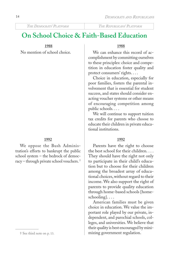# **On School Choice & Faith-Based Education**

**1988**

No mention of school choice.

### **1992**

We oppose the Bush Administration's efforts to bankrupt the public school system – the bedrock of democracy – through private school vouchers. †

### **1988**

We can enhance this record of accomplishment by committing ourselves to these principles: choice and competition in education foster quality and protect consumers' rights. . . .

Choice in education, especially for poor families, fosters the parental involvement that is essential for student success, and states should consider enacting voucher systems or other means of encouraging competition among public schools. . . .

We will continue to support tuition tax credits for parents who choose to educate their children in private educational institutions.

### **1992**

Parents have the right to choose the best school for their children. . . . They should have the right not only to participate in their child's education but to choose for their children among the broadest array of educational choices, without regard to their income. We also support the right of parents to provide quality education through home-based schools [homeschooling]. . . .

American families must be given choice in education. We value the important role played by our private, independent, and parochial schools, colleges, and universities. We believe that their quality is best encouraged by minimizing government regulation.

<sup>†</sup> See third note on p. 13.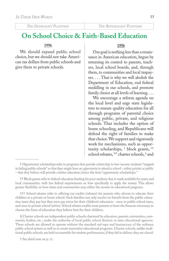# **On School Choice & Faith-Based Education**

#### **1996**

We should expand public school choice, but we should not take American tax dollars from public schools and give them to private schools.

#### **1996**

Our goal is nothing less than a renaissance in American education, begun by returning its control to parents, teachers, local school boards, and, through them, to communities and local taxpayers. . . . That is why we will abolish the Department of Education, end federal meddling in our schools, and promote family choice at all levels of learning. . . .

We encourage a reform agenda on the local level and urge state legislators to ensure quality education for all through programs of parental choice among public, private, and religious schools. That includes the option of home schooling, and Republicans will defend the right of families to make that choice. We support and vigorously work for mechanisms, such as opportunity scholarships, † block grants, †† school rebates, <sup>†††</sup> charter schools, § and

††† School rebates refer to offering tax credits (rebates) for parents who choose to educate their children in a private or home school. Such families not only receive no benefit from the public education taxes they pay but they even pay twice for their children's education – once in public school taxes, and once in private school tuition. School rebates enable more parents to have the finances necessary to choose the form of education they believe best for their children.

§ Charter schools are independent public schools chartered by educators, parents, universities, community leaders, etc., under the authority of local public school districts or state educational agencies. These schools are allowed to operate without the standard red-tape and bureaucracy of the ordinary public school system as well as to create innovative educational programs. Charter schools, unlike traditional public schools, are held accountable for student performance; if they fail to deliver, they are closed.

† See third note on p. 13.

<sup>†</sup> Opportunity scholarships refer to programs that provide *scholarships* to low-income students "trapped in failing public schools" so that they might have an *opportunity* to attend a school – either private or public – that they believe will provide a better education; hence the term "opportunity scholarships."

<sup>††</sup> Block grants refer to federal education funding for poor students that is made available for states and local communities, with less federal requirements on how specifically to apply the money. This allows greater flexibility on how states and communities may utilize the monies in educational programs.